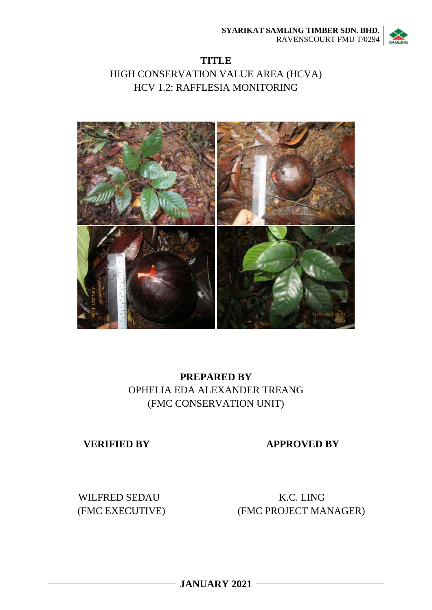

# **TITLE** HIGH CONSERVATION VALUE AREA (HCVA) HCV 1.2: RAFFLESIA MONITORING



# **PREPARED BY** OPHELIA EDA ALEXANDER TREANG (FMC CONSERVATION UNIT)

**VERIFIED BY APPROVED BY** 

WILFRED SEDAU K.C. LING

(FMC EXECUTIVE) (FMC PROJECT MANAGER)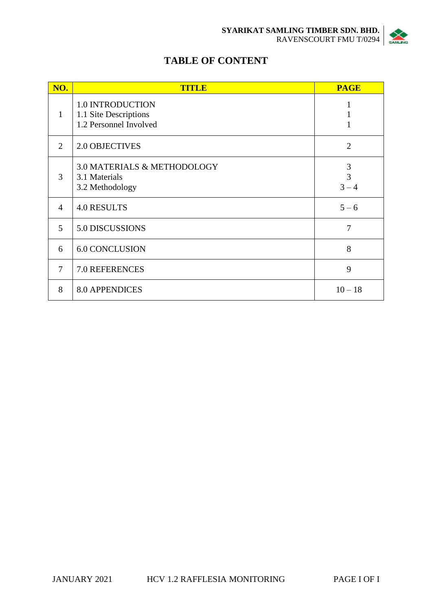

# **TABLE OF CONTENT**

| NO.            | <b>TITLE</b>                                                               | <b>PAGE</b>                    |
|----------------|----------------------------------------------------------------------------|--------------------------------|
| $\mathbf{1}$   | <b>1.0 INTRODUCTION</b><br>1.1 Site Descriptions<br>1.2 Personnel Involved | $\mathbf{I}$                   |
| 2              | <b>2.0 OBJECTIVES</b>                                                      | $\overline{2}$                 |
| 3              | <b>3.0 MATERIALS &amp; METHODOLOGY</b><br>3.1 Materials<br>3.2 Methodology | 3<br>$\overline{3}$<br>$3 - 4$ |
| $\overline{4}$ | <b>4.0 RESULTS</b>                                                         | $5 - 6$                        |
| 5              | 5.0 DISCUSSIONS                                                            | 7                              |
| 6              | <b>6.0 CONCLUSION</b>                                                      | 8                              |
| 7              | 7.0 REFERENCES                                                             | 9                              |
| 8              | <b>8.0 APPENDICES</b>                                                      | $10 - 18$                      |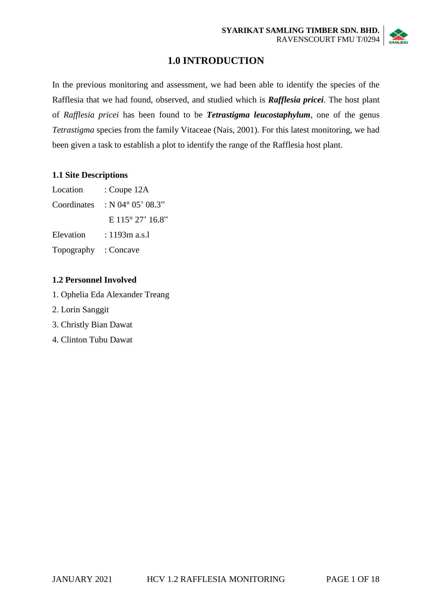

# **1.0 INTRODUCTION**

In the previous monitoring and assessment, we had been able to identify the species of the Rafflesia that we had found, observed, and studied which is *Rafflesia pricei.* The host plant of *Rafflesia pricei* has been found to be *Tetrastigma leucostaphylum*, one of the genus *Tetrastigma* species from the family Vitaceae (Nais, 2001). For this latest monitoring, we had been given a task to establish a plot to identify the range of the Rafflesia host plant.

### **1.1 Site Descriptions**

| Location    | : Coupe 12A                 |
|-------------|-----------------------------|
| Coordinates | : N 04 $^{\circ}$ 05' 08.3" |
|             | E $115^{\circ}27'16.8"$     |
| Elevation   | $: 1193m$ a.s.l             |
| Topography  | : Concave                   |

### **1.2 Personnel Involved**

- 1. Ophelia Eda Alexander Treang
- 2. Lorin Sanggit
- 3. Christly Bian Dawat
- 4. Clinton Tubu Dawat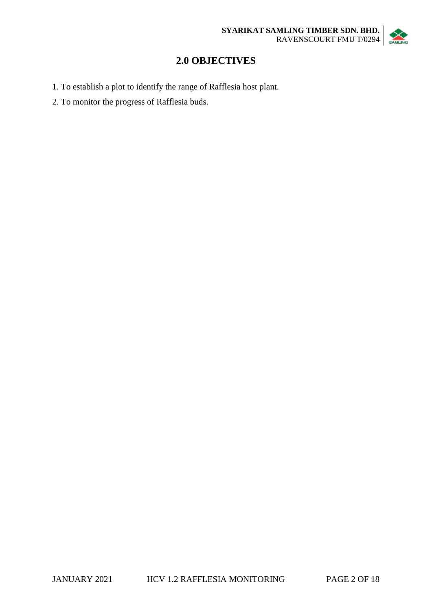

# **2.0 OBJECTIVES**

- 1. To establish a plot to identify the range of Rafflesia host plant.
- 2. To monitor the progress of Rafflesia buds.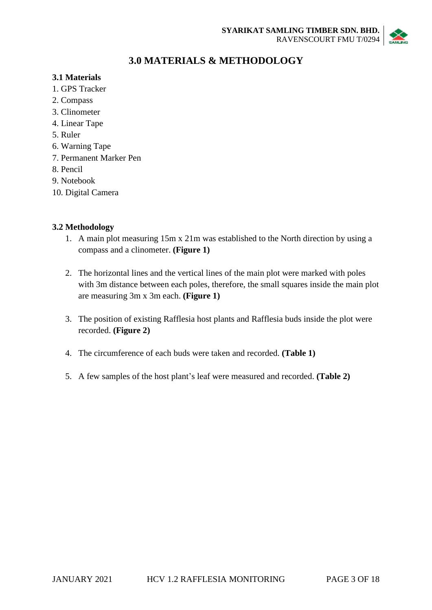

# **3.0 MATERIALS & METHODOLOGY**

### **3.1 Materials**

- 1. GPS Tracker
- 2. Compass
- 3. Clinometer
- 4. Linear Tape
- 5. Ruler
- 6. Warning Tape
- 7. Permanent Marker Pen
- 8. Pencil
- 9. Notebook
- 10. Digital Camera

## **3.2 Methodology**

- 1. A main plot measuring 15m x 21m was established to the North direction by using a compass and a clinometer. **(Figure 1)**
- 2. The horizontal lines and the vertical lines of the main plot were marked with poles with 3m distance between each poles, therefore, the small squares inside the main plot are measuring 3m x 3m each. **(Figure 1)**
- 3. The position of existing Rafflesia host plants and Rafflesia buds inside the plot were recorded. **(Figure 2)**
- 4. The circumference of each buds were taken and recorded. **(Table 1)**
- 5. A few samples of the host plant's leaf were measured and recorded. **(Table 2)**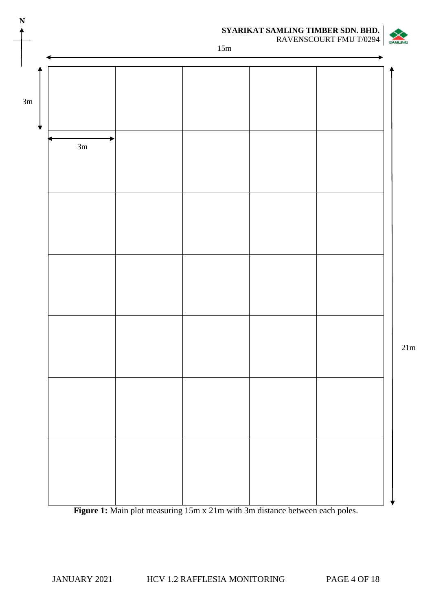

Figure 1: Main plot measuring 15m x 21m with 3m distance between each poles.

21m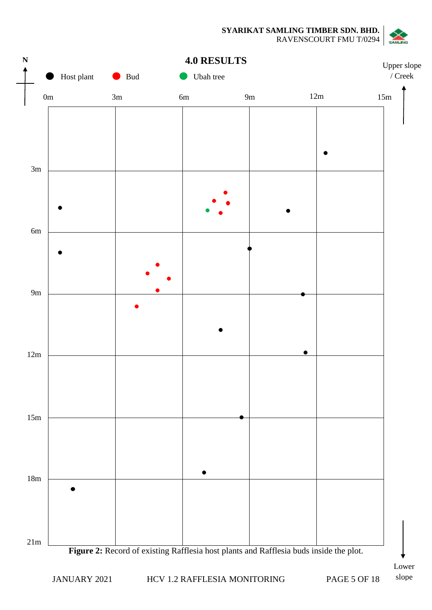**SYARIKAT SAMLING TIMBER SDN. BHD.** RAVENSCOURT FMU T/0294



## **4.0 RESULTS**



Lower slope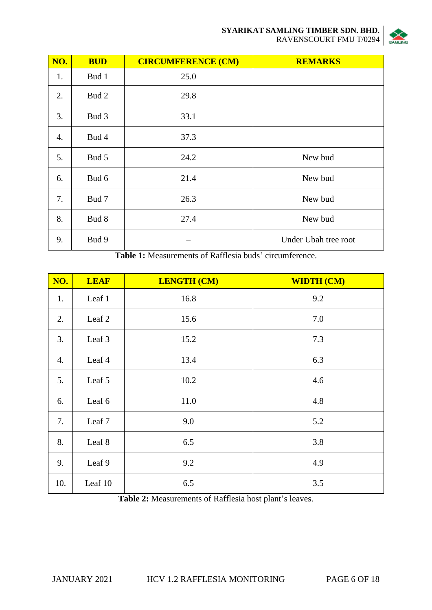

| NO. | <b>BUD</b> | <b>CIRCUMFERENCE (CM)</b> | <b>REMARKS</b>       |
|-----|------------|---------------------------|----------------------|
| 1.  | Bud 1      | 25.0                      |                      |
| 2.  | Bud 2      | 29.8                      |                      |
| 3.  | Bud 3      | 33.1                      |                      |
| 4.  | Bud 4      | 37.3                      |                      |
| 5.  | Bud 5      | 24.2                      | New bud              |
| 6.  | Bud 6      | 21.4                      | New bud              |
| 7.  | Bud 7      | 26.3                      | New bud              |
| 8.  | Bud 8      | 27.4                      | New bud              |
| 9.  | Bud 9      |                           | Under Ubah tree root |

**Table 1:** Measurements of Rafflesia buds' circumference.

| NO. | <b>LEAF</b> | <b>LENGTH (CM)</b> | <b>WIDTH (CM)</b> |
|-----|-------------|--------------------|-------------------|
| 1.  | Leaf 1      | 16.8               | 9.2               |
| 2.  | Leaf 2      | 15.6               | 7.0               |
| 3.  | Leaf 3      | 15.2               | 7.3               |
| 4.  | Leaf 4      | 13.4               | 6.3               |
| 5.  | Leaf 5      | 10.2               | 4.6               |
| 6.  | Leaf 6      | 11.0               | 4.8               |
| 7.  | Leaf 7      | 9.0                | 5.2               |
| 8.  | Leaf 8      | 6.5                | 3.8               |
| 9.  | Leaf 9      | 9.2                | 4.9               |
| 10. | Leaf 10     | 6.5                | 3.5               |

**Table 2:** Measurements of Rafflesia host plant's leaves.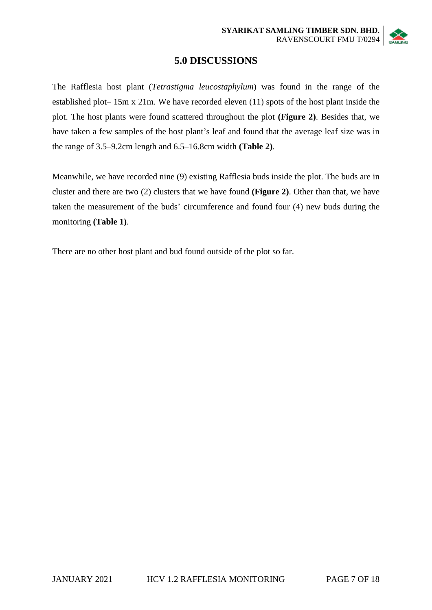

## **5.0 DISCUSSIONS**

The Rafflesia host plant (*Tetrastigma leucostaphylum*) was found in the range of the established plot– 15m x 21m. We have recorded eleven (11) spots of the host plant inside the plot. The host plants were found scattered throughout the plot **(Figure 2)**. Besides that, we have taken a few samples of the host plant's leaf and found that the average leaf size was in the range of 3.5–9.2cm length and 6.5–16.8cm width **(Table 2)**.

Meanwhile, we have recorded nine (9) existing Rafflesia buds inside the plot. The buds are in cluster and there are two (2) clusters that we have found **(Figure 2)**. Other than that, we have taken the measurement of the buds' circumference and found four (4) new buds during the monitoring **(Table 1)**.

There are no other host plant and bud found outside of the plot so far.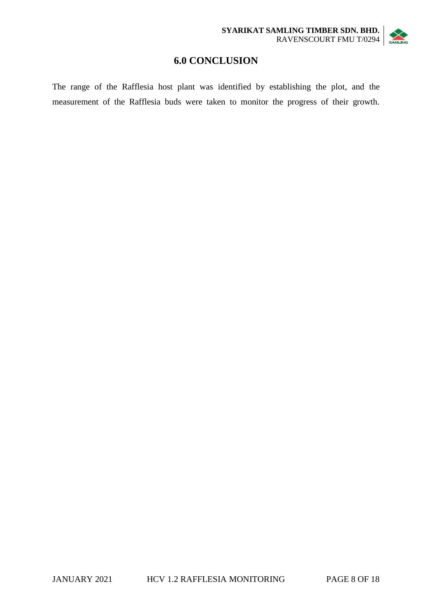# **6.0 CONCLUSION**

The range of the Rafflesia host plant was identified by establishing the plot, and the measurement of the Rafflesia buds were taken to monitor the progress of their growth.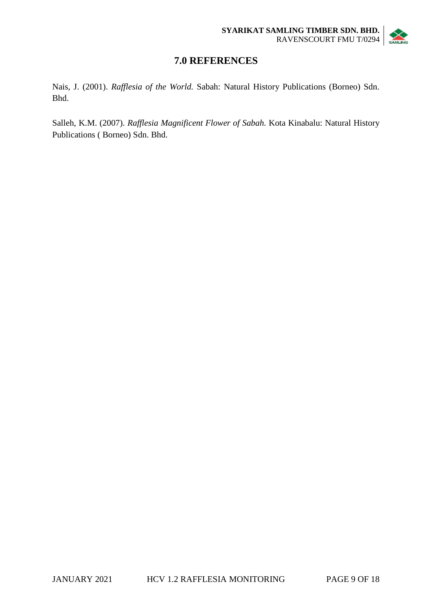

# **7.0 REFERENCES**

Nais, J. (2001). *Rafflesia of the World.* Sabah: Natural History Publications (Borneo) Sdn. Bhd.

Salleh, K.M. (2007). *Rafflesia Magnificent Flower of Sabah.* Kota Kinabalu: Natural History Publications ( Borneo) Sdn. Bhd.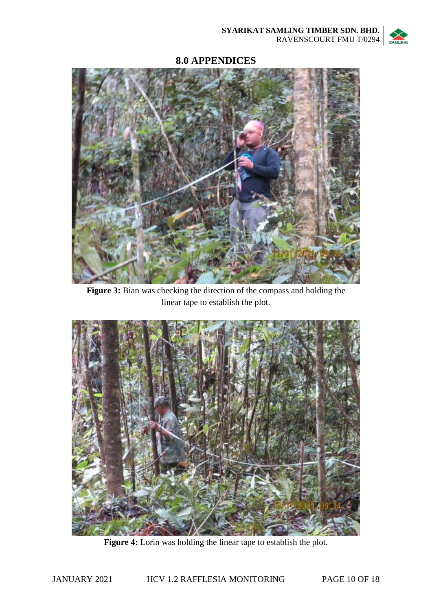

## **8.0 APPENDICES**



**Figure 3:** Bian was checking the direction of the compass and holding the linear tape to establish the plot.



Figure 4: Lorin was holding the linear tape to establish the plot.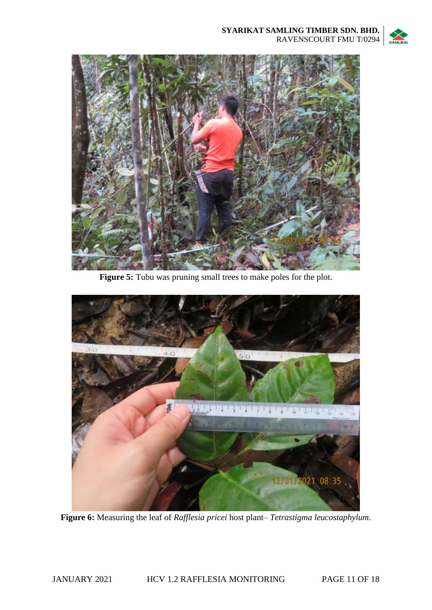



Figure 5: Tubu was pruning small trees to make poles for the plot.



**Figure 6:** Measuring the leaf of *Rafflesia pricei* host plant– *Tetrastigma leucostaphylum*.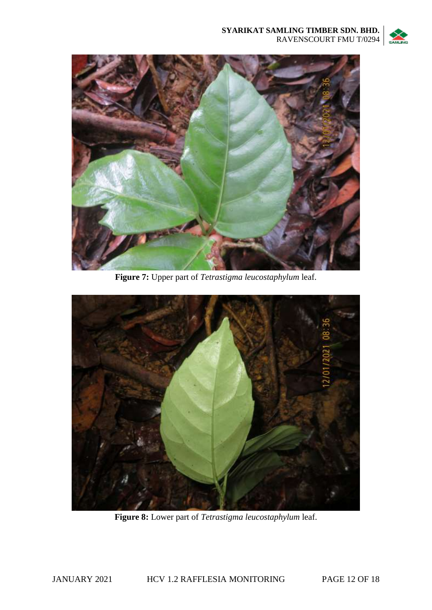



**Figure 7:** Upper part of *Tetrastigma leucostaphylum* leaf.



**Figure 8:** Lower part of *Tetrastigma leucostaphylum* leaf.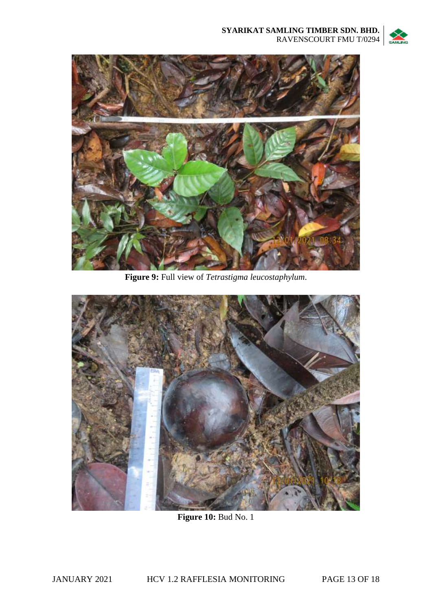



**Figure 9:** Full view of *Tetrastigma leucostaphylum*.



**Figure 10: Bud No. 1**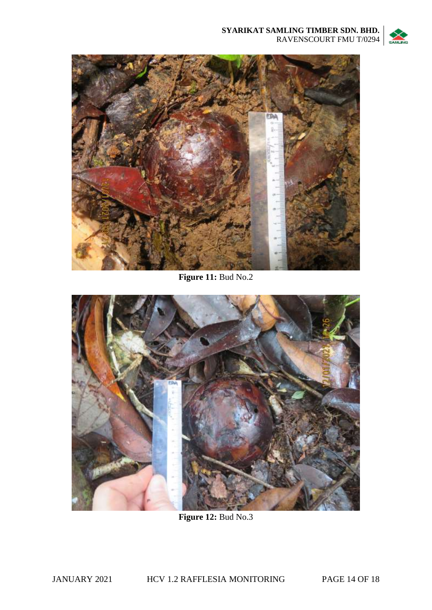



**Figure 11:** Bud No.2



**Figure 12:** Bud No.3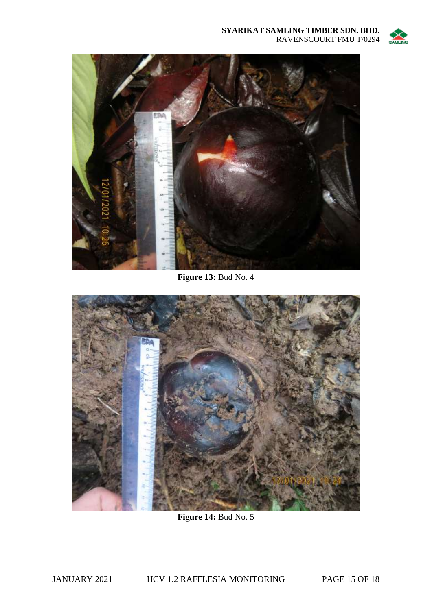



**Figure 13: Bud No. 4** 



**Figure 14: Bud No. 5**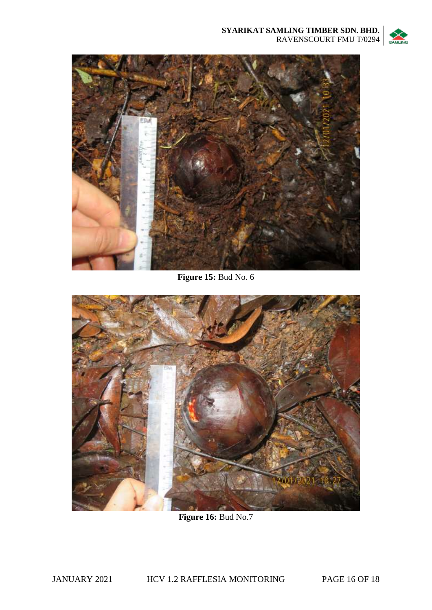



**Figure 15: Bud No. 6** 



**Figure 16:** Bud No.7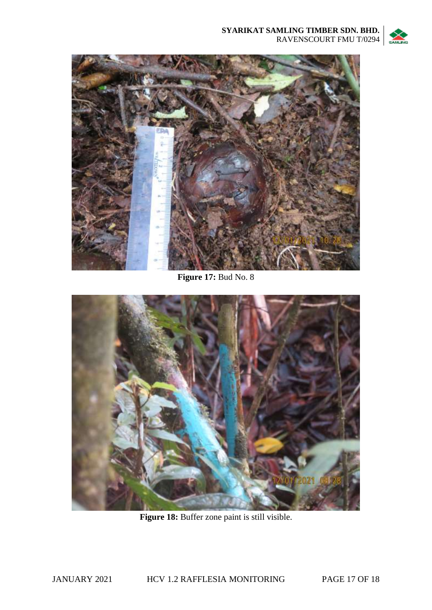



**Figure 17:** Bud No. 8



Figure 18: Buffer zone paint is still visible.